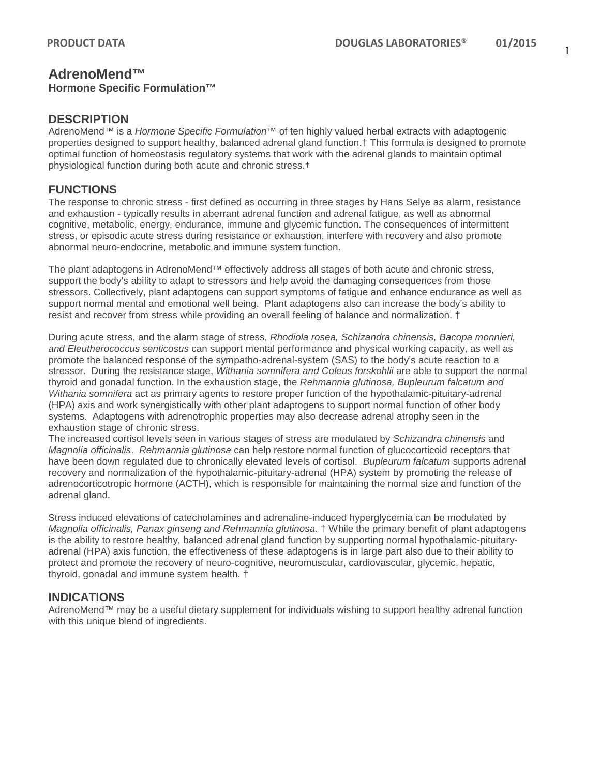# **AdrenoMend™**

#### **Hormone Specific Formulation™**

#### **DESCRIPTION**

AdrenoMend™ is a *Hormone Specific Formulation™* of ten highly valued herbal extracts with adaptogenic properties designed to support healthy, balanced adrenal gland function.† This formula is designed to promote optimal function of homeostasis regulatory systems that work with the adrenal glands to maintain optimal physiological function during both acute and chronic stress.†

### **FUNCTIONS**

The response to chronic stress - first defined as occurring in three stages by Hans Selye as alarm, resistance and exhaustion - typically results in aberrant adrenal function and adrenal fatigue, as well as abnormal cognitive, metabolic, energy, endurance, immune and glycemic function. The consequences of intermittent stress, or episodic acute stress during resistance or exhaustion, interfere with recovery and also promote abnormal neuro-endocrine, metabolic and immune system function.

The plant adaptogens in AdrenoMend™ effectively address all stages of both acute and chronic stress, support the body's ability to adapt to stressors and help avoid the damaging consequences from those stressors. Collectively, plant adaptogens can support symptoms of fatigue and enhance endurance as well as support normal mental and emotional well being. Plant adaptogens also can increase the body's ability to resist and recover from stress while providing an overall feeling of balance and normalization. †

During acute stress, and the alarm stage of stress, *Rhodiola rosea, Schizandra chinensis, Bacopa monnieri, and Eleutherococcus senticosus* can support mental performance and physical working capacity, as well as promote the balanced response of the sympatho-adrenal-system (SAS) to the body's acute reaction to a stressor. During the resistance stage, *Withania somnifera and Coleus forskohlii* are able to support the normal thyroid and gonadal function. In the exhaustion stage, the *Rehmannia glutinosa, Bupleurum falcatum and Withania somnifera* act as primary agents to restore proper function of the hypothalamic-pituitary-adrenal (HPA) axis and work synergistically with other plant adaptogens to support normal function of other body systems. Adaptogens with adrenotrophic properties may also decrease adrenal atrophy seen in the exhaustion stage of chronic stress.

The increased cortisol levels seen in various stages of stress are modulated by *Schizandra chinensis* and *Magnolia officinalis*. *Rehmannia glutinosa* can help restore normal function of glucocorticoid receptors that have been down regulated due to chronically elevated levels of cortisol. *Bupleurum falcatum* supports adrenal recovery and normalization of the hypothalamic-pituitary-adrenal (HPA) system by promoting the release of adrenocorticotropic hormone (ACTH), which is responsible for maintaining the normal size and function of the adrenal gland.

Stress induced elevations of catecholamines and adrenaline-induced hyperglycemia can be modulated by *Magnolia officinalis, Panax ginseng and Rehmannia glutinosa*. † While the primary benefit of plant adaptogens is the ability to restore healthy, balanced adrenal gland function by supporting normal hypothalamic-pituitaryadrenal (HPA) axis function, the effectiveness of these adaptogens is in large part also due to their ability to protect and promote the recovery of neuro-cognitive, neuromuscular, cardiovascular, glycemic, hepatic, thyroid, gonadal and immune system health. †

#### **INDICATIONS**

AdrenoMend™ may be a useful dietary supplement for individuals wishing to support healthy adrenal function with this unique blend of ingredients.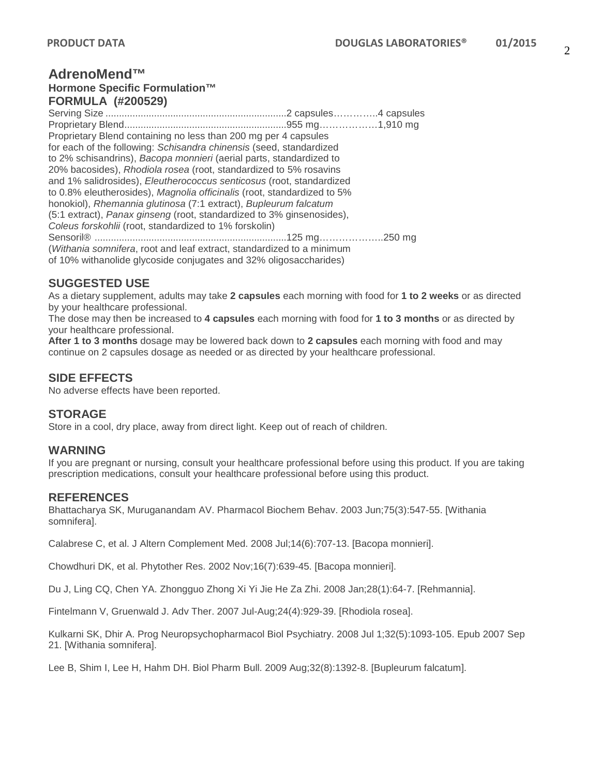### **AdrenoMend™ Hormone Specific Formulation™ FORMULA (#200529)**

Serving Size ...................................................................2 capsules…………..4 capsules Proprietary Blend............................................................955 mg………………1,910 mg Proprietary Blend containing no less than 200 mg per 4 capsules for each of the following: *Schisandra chinensis* (seed, standardized to 2% schisandrins), *Bacopa monnieri* (aerial parts, standardized to 20% bacosides), *Rhodiola rosea* (root, standardized to 5% rosavins and 1% salidrosides), *Eleutherococcus senticosus* (root, standardized to 0.8% eleutherosides), *Magnolia officinalis* (root, standardized to 5% honokiol), *Rhemannia glutinosa* (7:1 extract), *Bupleurum falcatum*  (5:1 extract), *Panax ginseng* (root, standardized to 3% ginsenosides), *Coleus forskohlii* (root, standardized to 1% forskolin) Sensoril® .......................................................................125 mg………………..250 mg (*Withania somnifera*, root and leaf extract, standardized to a minimum of 10% withanolide glycoside conjugates and 32% oligosaccharides)

## **SUGGESTED USE**

As a dietary supplement, adults may take **2 capsules** each morning with food for **1 to 2 weeks** or as directed by your healthcare professional.

The dose may then be increased to **4 capsules** each morning with food for **1 to 3 months** or as directed by your healthcare professional.

**After 1 to 3 months** dosage may be lowered back down to **2 capsules** each morning with food and may continue on 2 capsules dosage as needed or as directed by your healthcare professional.

## **SIDE EFFECTS**

No adverse effects have been reported.

## **STORAGE**

Store in a cool, dry place, away from direct light. Keep out of reach of children.

#### **WARNING**

If you are pregnant or nursing, consult your healthcare professional before using this product. If you are taking prescription medications, consult your healthcare professional before using this product.

#### **REFERENCES**

Bhattacharya SK, Muruganandam AV. Pharmacol Biochem Behav. 2003 Jun;75(3):547-55. [Withania somnifera].

Calabrese C, et al. J Altern Complement Med. 2008 Jul;14(6):707-13. [Bacopa monnieri].

Chowdhuri DK, et al. Phytother Res. 2002 Nov;16(7):639-45. [Bacopa monnieri].

Du J, Ling CQ, Chen YA. Zhongguo Zhong Xi Yi Jie He Za Zhi. 2008 Jan;28(1):64-7. [Rehmannia].

Fintelmann V, Gruenwald J. Adv Ther. 2007 Jul-Aug;24(4):929-39. [Rhodiola rosea].

Kulkarni SK, Dhir A. Prog Neuropsychopharmacol Biol Psychiatry. 2008 Jul 1;32(5):1093-105. Epub 2007 Sep 21. [Withania somnifera].

Lee B, Shim I, Lee H, Hahm DH. Biol Pharm Bull. 2009 Aug;32(8):1392-8. [Bupleurum falcatum].